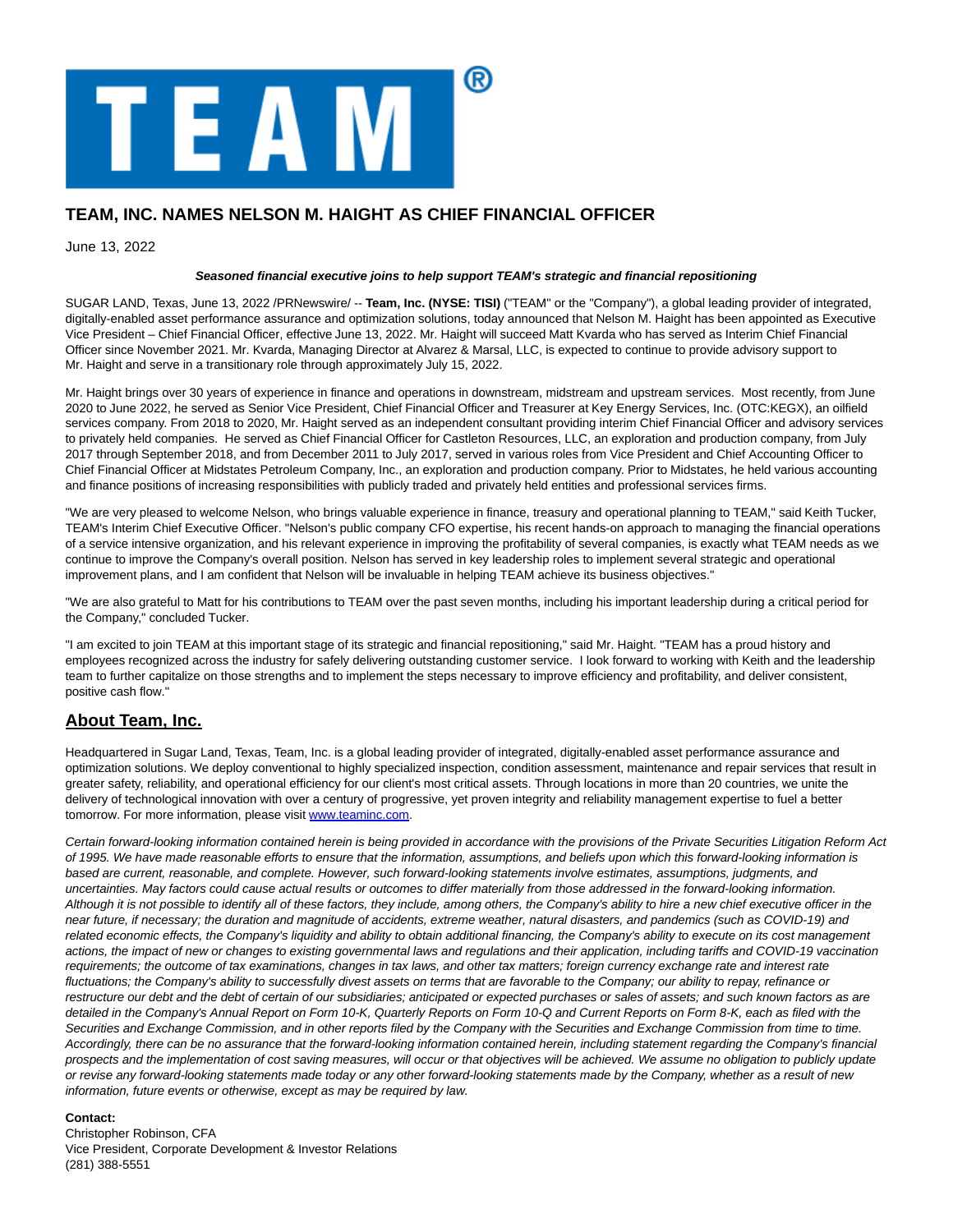

## **TEAM, INC. NAMES NELSON M. HAIGHT AS CHIEF FINANCIAL OFFICER**

June 13, 2022

## **Seasoned financial executive joins to help support TEAM's strategic and financial repositioning**

SUGAR LAND, Texas, June 13, 2022 /PRNewswire/ -- **Team, Inc. (NYSE: TISI)** ("TEAM" or the "Company"), a global leading provider of integrated, digitally-enabled asset performance assurance and optimization solutions, today announced that Nelson M. Haight has been appointed as Executive Vice President – Chief Financial Officer, effective June 13, 2022. Mr. Haight will succeed Matt Kvarda who has served as Interim Chief Financial Officer since November 2021. Mr. Kvarda, Managing Director at Alvarez & Marsal, LLC, is expected to continue to provide advisory support to Mr. Haight and serve in a transitionary role through approximately July 15, 2022.

Mr. Haight brings over 30 years of experience in finance and operations in downstream, midstream and upstream services. Most recently, from June 2020 to June 2022, he served as Senior Vice President, Chief Financial Officer and Treasurer at Key Energy Services, Inc. (OTC:KEGX), an oilfield services company. From 2018 to 2020, Mr. Haight served as an independent consultant providing interim Chief Financial Officer and advisory services to privately held companies. He served as Chief Financial Officer for Castleton Resources, LLC, an exploration and production company, from July 2017 through September 2018, and from December 2011 to July 2017, served in various roles from Vice President and Chief Accounting Officer to Chief Financial Officer at Midstates Petroleum Company, Inc., an exploration and production company. Prior to Midstates, he held various accounting and finance positions of increasing responsibilities with publicly traded and privately held entities and professional services firms.

"We are very pleased to welcome Nelson, who brings valuable experience in finance, treasury and operational planning to TEAM," said Keith Tucker, TEAM's Interim Chief Executive Officer. "Nelson's public company CFO expertise, his recent hands-on approach to managing the financial operations of a service intensive organization, and his relevant experience in improving the profitability of several companies, is exactly what TEAM needs as we continue to improve the Company's overall position. Nelson has served in key leadership roles to implement several strategic and operational improvement plans, and I am confident that Nelson will be invaluable in helping TEAM achieve its business objectives."

"We are also grateful to Matt for his contributions to TEAM over the past seven months, including his important leadership during a critical period for the Company," concluded Tucker.

"I am excited to join TEAM at this important stage of its strategic and financial repositioning," said Mr. Haight. "TEAM has a proud history and employees recognized across the industry for safely delivering outstanding customer service. I look forward to working with Keith and the leadership team to further capitalize on those strengths and to implement the steps necessary to improve efficiency and profitability, and deliver consistent, positive cash flow."

## **About Team, Inc.**

Headquartered in Sugar Land, Texas, Team, Inc. is a global leading provider of integrated, digitally-enabled asset performance assurance and optimization solutions. We deploy conventional to highly specialized inspection, condition assessment, maintenance and repair services that result in greater safety, reliability, and operational efficiency for our client's most critical assets. Through locations in more than 20 countries, we unite the delivery of technological innovation with over a century of progressive, yet proven integrity and reliability management expertise to fuel a better tomorrow. For more information, please visit www.teaminc.com.

Certain forward-looking information contained herein is being provided in accordance with the provisions of the Private Securities Litigation Reform Act of 1995. We have made reasonable efforts to ensure that the information, assumptions, and beliefs upon which this forward-looking information is based are current, reasonable, and complete. However, such forward-looking statements involve estimates, assumptions, judgments, and uncertainties. May factors could cause actual results or outcomes to differ materially from those addressed in the forward-looking information. Although it is not possible to identify all of these factors, they include, among others, the Company's ability to hire a new chief executive officer in the near future, if necessary; the duration and magnitude of accidents, extreme weather, natural disasters, and pandemics (such as COVID-19) and related economic effects, the Company's liquidity and ability to obtain additional financing, the Company's ability to execute on its cost management actions, the impact of new or changes to existing governmental laws and regulations and their application, including tariffs and COVID-19 vaccination requirements; the outcome of tax examinations, changes in tax laws, and other tax matters; foreign currency exchange rate and interest rate fluctuations; the Company's ability to successfully divest assets on terms that are favorable to the Company; our ability to repay, refinance or restructure our debt and the debt of certain of our subsidiaries; anticipated or expected purchases or sales of assets; and such known factors as are detailed in the Company's Annual Report on Form 10-K, Quarterly Reports on Form 10-Q and Current Reports on Form 8-K, each as filed with the Securities and Exchange Commission, and in other reports filed by the Company with the Securities and Exchange Commission from time to time. Accordingly, there can be no assurance that the forward-looking information contained herein, including statement regarding the Company's financial prospects and the implementation of cost saving measures, will occur or that objectives will be achieved. We assume no obligation to publicly update or revise any forward-looking statements made today or any other forward-looking statements made by the Company, whether as a result of new information, future events or otherwise, except as may be required by law.

## **Contact:**

Christopher Robinson, CFA Vice President, Corporate Development & Investor Relations (281) 388-5551